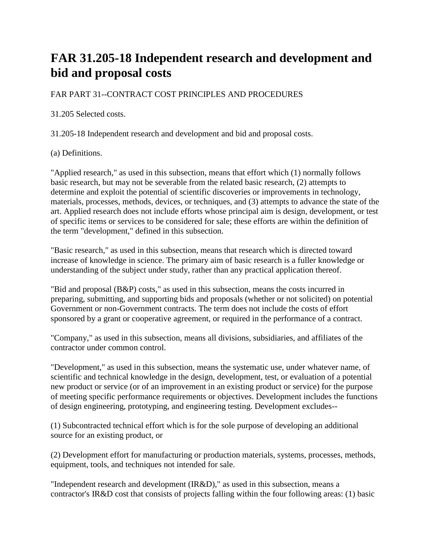## **FAR 31.205-18 Independent research and development and bid and proposal costs**

## FAR PART 31--CONTRACT COST PRINCIPLES AND PROCEDURES

31.205 Selected costs.

31.205-18 Independent research and development and bid and proposal costs.

(a) Definitions.

"Applied research," as used in this subsection, means that effort which (1) normally follows basic research, but may not be severable from the related basic research, (2) attempts to determine and exploit the potential of scientific discoveries or improvements in technology, materials, processes, methods, devices, or techniques, and (3) attempts to advance the state of the art. Applied research does not include efforts whose principal aim is design, development, or test of specific items or services to be considered for sale; these efforts are within the definition of the term "development," defined in this subsection.

"Basic research," as used in this subsection, means that research which is directed toward increase of knowledge in science. The primary aim of basic research is a fuller knowledge or understanding of the subject under study, rather than any practical application thereof.

"Bid and proposal (B&P) costs," as used in this subsection, means the costs incurred in preparing, submitting, and supporting bids and proposals (whether or not solicited) on potential Government or non-Government contracts. The term does not include the costs of effort sponsored by a grant or cooperative agreement, or required in the performance of a contract.

"Company," as used in this subsection, means all divisions, subsidiaries, and affiliates of the contractor under common control.

"Development," as used in this subsection, means the systematic use, under whatever name, of scientific and technical knowledge in the design, development, test, or evaluation of a potential new product or service (or of an improvement in an existing product or service) for the purpose of meeting specific performance requirements or objectives. Development includes the functions of design engineering, prototyping, and engineering testing. Development excludes--

(1) Subcontracted technical effort which is for the sole purpose of developing an additional source for an existing product, or

(2) Development effort for manufacturing or production materials, systems, processes, methods, equipment, tools, and techniques not intended for sale.

"Independent research and development (IR&D)," as used in this subsection, means a contractor's IR&D cost that consists of projects falling within the four following areas: (1) basic